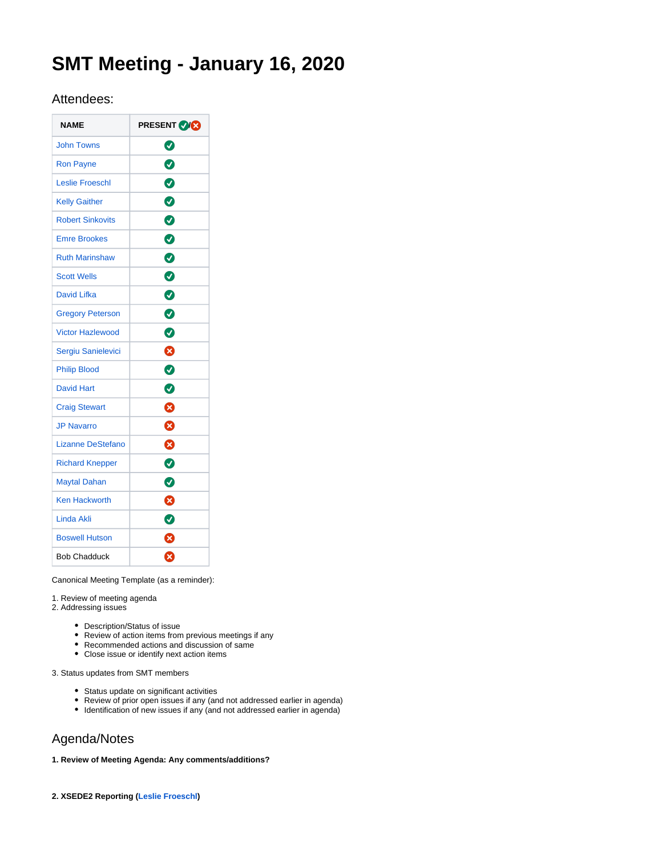# **SMT Meeting - January 16, 2020**

# Attendees:

| <b>NAME</b>              | <b>PRESENT VICE</b> |
|--------------------------|---------------------|
| <b>John Towns</b>        | Ø                   |
| <b>Ron Payne</b>         | $\bullet$           |
| <b>Leslie Froeschl</b>   | $\bullet$           |
| <b>Kelly Gaither</b>     | 0                   |
| <b>Robert Sinkovits</b>  | ◙                   |
| <b>Emre Brookes</b>      | 0                   |
| <b>Ruth Marinshaw</b>    | 0                   |
| <b>Scott Wells</b>       | $\bullet$           |
| David Lifka              | $\bullet$           |
| <b>Gregory Peterson</b>  | $\bullet$           |
| <b>Victor Hazlewood</b>  | Ø                   |
| Sergiu Sanielevici       | ☺                   |
| <b>Philip Blood</b>      | ◙                   |
| <b>David Hart</b>        | ◙                   |
| <b>Craig Stewart</b>     | Ø                   |
| <b>JP Navarro</b>        | ظ                   |
| <b>Lizanne DeStefano</b> | ☺                   |
| <b>Richard Knepper</b>   | ◙                   |
| <b>Maytal Dahan</b>      | Ø                   |
| <b>Ken Hackworth</b>     | Ø                   |
| <b>Linda Akli</b>        | ◙                   |
| <b>Boswell Hutson</b>    | ⊗                   |
| <b>Bob Chadduck</b>      | ೞ                   |

Canonical Meeting Template (as a reminder):

1. Review of meeting agenda

- 2. Addressing issues
	- Description/Status of issue
	- Review of action items from previous meetings if any
	- Recommended actions and discussion of same
	- Close issue or identify next action items

3. Status updates from SMT members

- Status update on significant activities
- Review of prior open issues if any (and not addressed earlier in agenda)
- Identification of new issues if any (and not addressed earlier in agenda)

# Agenda/Notes

# **1. Review of Meeting Agenda: Any comments/additions?**

**2. XSEDE2 Reporting [\(Leslie Froeschl\)](https://confluence.xsede.org/display/~lfroesch)**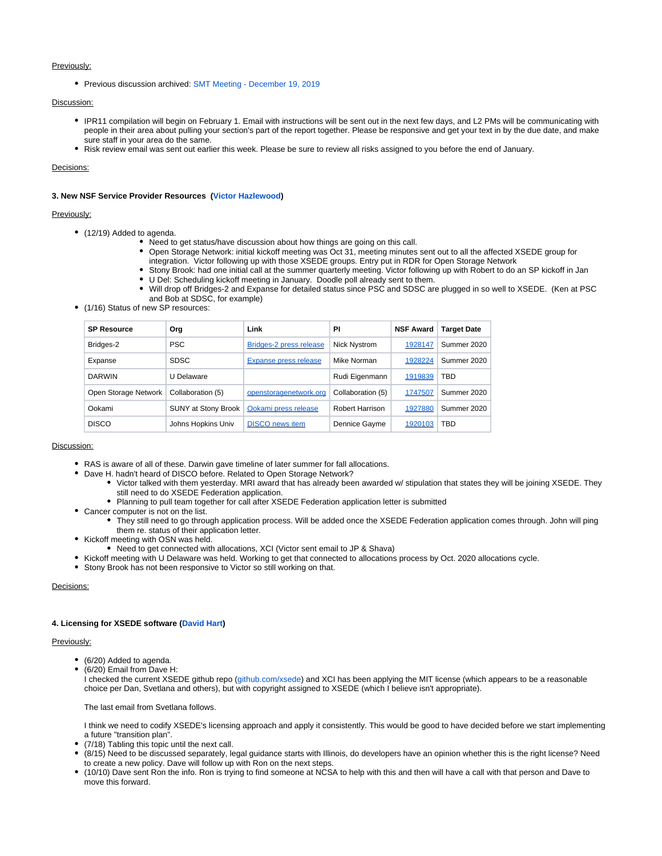# Previously:

• Previous discussion archived: [SMT Meeting - December 19, 2019](https://confluence.xsede.org/display/XT/SMT+Meeting+-+December+19%2C+2019)

# Discussion:

- IPR11 compilation will begin on February 1. Email with instructions will be sent out in the next few days, and L2 PMs will be communicating with people in their area about pulling your section's part of the report together. Please be responsive and get your text in by the due date, and make sure staff in your area do the same.
- Risk review email was sent out earlier this week. Please be sure to review all risks assigned to you before the end of January.

Decisions:

### **3. New NSF Service Provider Resources [\(Victor Hazlewood\)](https://confluence.xsede.org/display/~victorh)**

# Previously:

- (12/19) Added to agenda.
	- Need to get status/have discussion about how things are going on this call.
		- Open Storage Network: initial kickoff meeting was Oct 31, meeting minutes sent out to all the affected XSEDE group for integration. Victor following up with those XSEDE groups. Entry put in RDR for Open Storage Network
		- Stony Brook: had one initial call at the summer quarterly meeting. Victor following up with Robert to do an SP kickoff in Jan
	- U Del: Scheduling kickoff meeting in January. Doodle poll already sent to them.
	- Will drop off Bridges-2 and Expanse for detailed status since PSC and SDSC are plugged in so well to XSEDE. (Ken at PSC and Bob at SDSC, for example)
- (1/16) Status of new SP resources:

| <b>SP Resource</b>   | Org                 | Link                         | ΡI                | <b>NSF Award</b> | <b>Target Date</b> |
|----------------------|---------------------|------------------------------|-------------------|------------------|--------------------|
| Bridges-2            | <b>PSC</b>          | Bridges-2 press release      | Nick Nystrom      | 1928147          | Summer 2020        |
| Expanse              | <b>SDSC</b>         | <b>Expanse press release</b> | Mike Norman       | 1928224          | Summer 2020        |
| <b>DARWIN</b>        | U Delaware          |                              | Rudi Eigenmann    | 1919839          | TBD                |
| Open Storage Network | Collaboration (5)   | openstoragenetwork.org       | Collaboration (5) | 1747507          | Summer 2020        |
| Ookami               | SUNY at Stony Brook | Ookami press release         | Robert Harrison   | 1927880          | Summer 2020        |
| <b>DISCO</b>         | Johns Hopkins Univ  | <b>DISCO</b> news item       | Dennice Gayme     | 1920103          | TBD                |

#### Discussion:

- RAS is aware of all of these. Darwin gave timeline of later summer for fall allocations.
- Dave H. hadn't heard of DISCO before. Related to Open Storage Network?
	- Victor talked with them yesterday. MRI award that has already been awarded w/ stipulation that states they will be joining XSEDE. They still need to do XSEDE Federation application.
	- Planning to pull team together for call after XSEDE Federation application letter is submitted
- Cancer computer is not on the list.
	- They still need to go through application process. Will be added once the XSEDE Federation application comes through. John will ping them re. status of their application letter.
- Kickoff meeting with OSN was held.
	- Need to get connected with allocations, XCI (Victor sent email to JP & Shava)
- Kickoff meeting with U Delaware was held. Working to get that connected to allocations process by Oct. 2020 allocations cycle.
- Stony Brook has not been responsive to Victor so still working on that.

# Decisions:

### **4. Licensing for XSEDE software [\(David Hart](https://confluence.xsede.org/display/~davidlh))**

## Previously:

- (6/20) Added to agenda.
- (6/20) Email from Dave H:

I checked the current XSEDE github repo ([github.com/xsede\)](http://github.com/xsede) and XCI has been applying the MIT license (which appears to be a reasonable choice per Dan, Svetlana and others), but with copyright assigned to XSEDE (which I believe isn't appropriate).

The last email from Svetlana follows.

I think we need to codify XSEDE's licensing approach and apply it consistently. This would be good to have decided before we start implementing a future "transition plan".

- (7/18) Tabling this topic until the next call.
- (8/15) Need to be discussed separately, legal guidance starts with Illinois, do developers have an opinion whether this is the right license? Need to create a new policy. Dave will follow up with Ron on the next steps.
- (10/10) Dave sent Ron the info. Ron is trying to find someone at NCSA to help with this and then will have a call with that person and Dave to move this forward.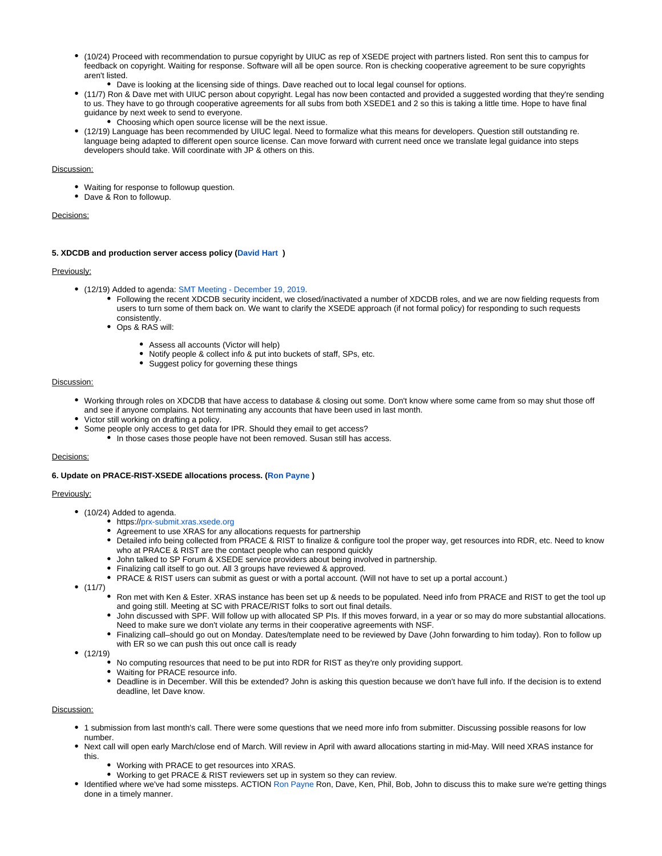- (10/24) Proceed with recommendation to pursue copyright by UIUC as rep of XSEDE project with partners listed. Ron sent this to campus for feedback on copyright. Waiting for response. Software will all be open source. Ron is checking cooperative agreement to be sure copyrights aren't listed.
	- Dave is looking at the licensing side of things. Dave reached out to local legal counsel for options.
- (11/7) Ron & Dave met with UIUC person about copyright. Legal has now been contacted and provided a suggested wording that they're sending to us. They have to go through cooperative agreements for all subs from both XSEDE1 and 2 so this is taking a little time. Hope to have final guidance by next week to send to everyone.
- Choosing which open source license will be the next issue.
- (12/19) Language has been recommended by UIUC legal. Need to formalize what this means for developers. Question still outstanding re. language being adapted to different open source license. Can move forward with current need once we translate legal guidance into steps developers should take. Will coordinate with JP & others on this.

# Discussion:

- Waiting for response to followup question.
- Dave & Ron to followup.

#### Decisions:

# **5. XDCDB and production server access policy ([David Hart](https://confluence.xsede.org/display/~davidlh) )**

## Previously:

- (12/19) Added to agenda: [SMT Meeting December 19, 2019](https://confluence.xsede.org/display/XT/SMT+Meeting+-+December+19%2C+2019).
	- Following the recent XDCDB security incident, we closed/inactivated a number of XDCDB roles, and we are now fielding requests from users to turn some of them back on. We want to clarify the XSEDE approach (if not formal policy) for responding to such requests consistently.
	- Ops & RAS will:
		- Assess all accounts (Victor will help)
		- Notify people & collect info & put into buckets of staff, SPs, etc.
		- Suggest policy for governing these things

#### Discussion:

- Working through roles on XDCDB that have access to database & closing out some. Don't know where some came from so may shut those off and see if anyone complains. Not terminating any accounts that have been used in last month.
- Victor still working on drafting a policy.
- Some people only access to get data for IPR. Should they email to get access?
	- In those cases those people have not been removed. Susan still has access.

# Decisions:

### **6. Update on PRACE-RIST-XSEDE allocations process. ([Ron Payne](https://confluence.xsede.org/display/~rpayne) )**

# Previously:

- (10/24) Added to agenda.
	- https://[prx-submit.xras.xsede.org](http://prx-submit.xras.xsede.org/)
	- Agreement to use XRAS for any allocations requests for partnership
	- Detailed info being collected from PRACE & RIST to finalize & configure tool the proper way, get resources into RDR, etc. Need to know who at PRACE & RIST are the contact people who can respond quickly
	- John talked to SP Forum & XSEDE service providers about being involved in partnership.
	- Finalizing call itself to go out. All 3 groups have reviewed & approved.
	- PRACE & RIST users can submit as guest or with a portal account. (Will not have to set up a portal account.)
- $•$  (11/7)
	- Ron met with Ken & Ester. XRAS instance has been set up & needs to be populated. Need info from PRACE and RIST to get the tool up and going still. Meeting at SC with PRACE/RIST folks to sort out final details.
	- John discussed with SPF. Will follow up with allocated SP PIs. If this moves forward, in a year or so may do more substantial allocations. Need to make sure we don't violate any terms in their cooperative agreements with NSF.
	- Finalizing call–should go out on Monday. Dates/template need to be reviewed by Dave (John forwarding to him today). Ron to follow up with ER so we can push this out once call is ready
- $•$  (12/19)
	- No computing resources that need to be put into RDR for RIST as they're only providing support.
	- Waiting for PRACE resource info.
	- Deadline is in December. Will this be extended? John is asking this question because we don't have full info. If the decision is to extend deadline, let Dave know.

# Discussion:

- 1 submission from last month's call. There were some questions that we need more info from submitter. Discussing possible reasons for low number.
- Next call will open early March/close end of March. Will review in April with award allocations starting in mid-May. Will need XRAS instance for this.
	- Working with PRACE to get resources into XRAS.
	- Working to get PRACE & RIST reviewers set up in system so they can review.
- Identified where we've had some missteps. ACTION [Ron Payne](https://confluence.xsede.org/display/~rpayne) Ron, Dave, Ken, Phil, Bob, John to discuss this to make sure we're getting things done in a timely manner.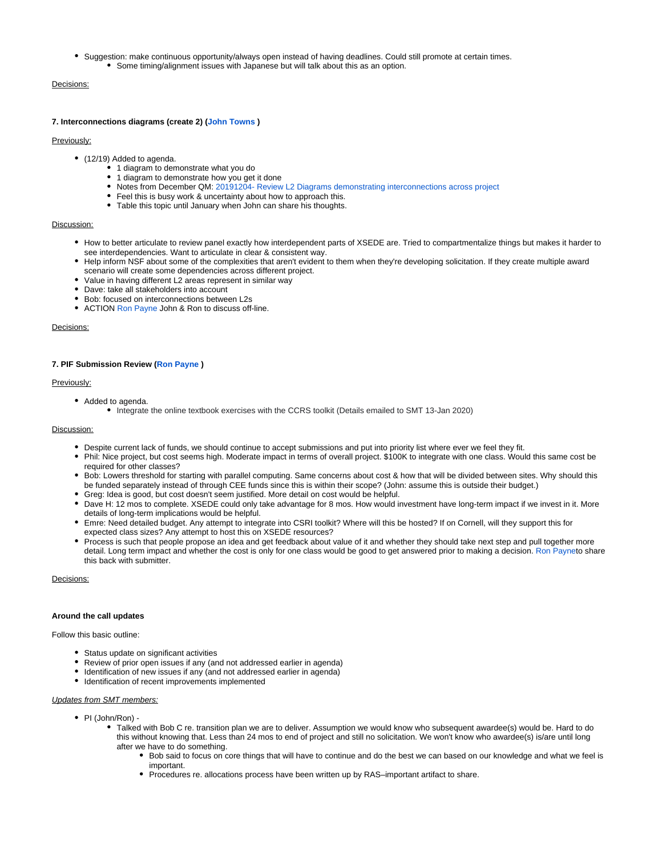Suggestion: make continuous opportunity/always open instead of having deadlines. Could still promote at certain times. Some timing/alignment issues with Japanese but will talk about this as an option.

# Decisions:

#### **7. Interconnections diagrams (create 2) [\(John Towns](https://confluence.xsede.org/display/~jtowns) )**

# Previously:

- (12/19) Added to agenda.
	- 1 diagram to demonstrate what you do
	- 1 diagram to demonstrate how you get it done
	- Notes from December QM: [20191204- Review L2 Diagrams demonstrating interconnections across project](https://confluence.xsede.org/display/XT/20191204-+Review+L2+Diagrams+demonstrating+interconnections+across+project)
	- Feel this is busy work & uncertainty about how to approach this.
	- Table this topic until January when John can share his thoughts.

#### Discussion:

- How to better articulate to review panel exactly how interdependent parts of XSEDE are. Tried to compartmentalize things but makes it harder to see interdependencies. Want to articulate in clear & consistent way.
- Help inform NSF about some of the complexities that aren't evident to them when they're developing solicitation. If they create multiple award scenario will create some dependencies across different project.
- Value in having different L2 areas represent in similar way
- Dave: take all stakeholders into account
- Bob: focused on interconnections between L2s
- ACTION [Ron Payne](https://confluence.xsede.org/display/~rpayne) John & Ron to discuss off-line.

#### Decisions:

#### **7. PIF Submission Review [\(Ron Payne](https://confluence.xsede.org/display/~rpayne) )**

#### Previously:

- Added to agenda.
	- Integrate the online textbook exercises with the CCRS toolkit (Details emailed to SMT 13-Jan 2020)

#### Discussion:

- Despite current lack of funds, we should continue to accept submissions and put into priority list where ever we feel they fit.
- Phil: Nice project, but cost seems high. Moderate impact in terms of overall project. \$100K to integrate with one class. Would this same cost be required for other classes?
- Bob: Lowers threshold for starting with parallel computing. Same concerns about cost & how that will be divided between sites. Why should this be funded separately instead of through CEE funds since this is within their scope? (John: assume this is outside their budget.)
- Greg: Idea is good, but cost doesn't seem justified. More detail on cost would be helpful.
- Dave H: 12 mos to complete. XSEDE could only take advantage for 8 mos. How would investment have long-term impact if we invest in it. More details of long-term implications would be helpful.
- Emre: Need detailed budget. Any attempt to integrate into CSRI toolkit? Where will this be hosted? If on Cornell, will they support this for expected class sizes? Any attempt to host this on XSEDE resources?
- Process is such that people propose an idea and get feedback about value of it and whether they should take next step and pull together more detail. Long term impact and whether the cost is only for one class would be good to get answered prior to making a decision. [Ron Paynet](https://confluence.xsede.org/display/~rpayne)o share this back with submitter.

Decisions:

## **Around the call updates**

Follow this basic outline:

- Status update on significant activities
- Review of prior open issues if any (and not addressed earlier in agenda)
- Identification of new issues if any (and not addressed earlier in agenda)
- Identification of recent improvements implemented

#### Updates from SMT members:

- PI (John/Ron)
	- Talked with Bob C re. transition plan we are to deliver. Assumption we would know who subsequent awardee(s) would be. Hard to do this without knowing that. Less than 24 mos to end of project and still no solicitation. We won't know who awardee(s) is/are until long after we have to do something.
		- Bob said to focus on core things that will have to continue and do the best we can based on our knowledge and what we feel is important.
		- Procedures re. allocations process have been written up by RAS–important artifact to share.